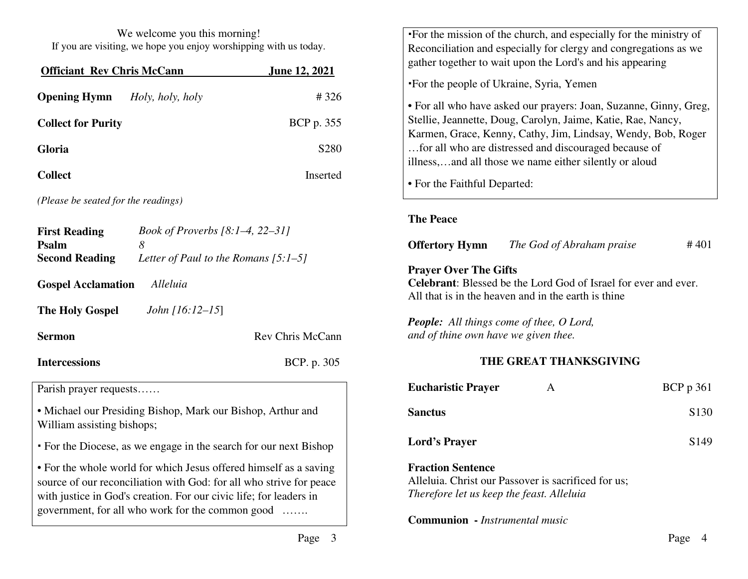We welcome you this morning! If you are visiting, we hope you enjoy worshipping with us today.

| <b>Officiant Rev Chris McCann</b>                      |                                                                                       | <b>June 12, 2021</b> |  |  |  |
|--------------------------------------------------------|---------------------------------------------------------------------------------------|----------------------|--|--|--|
| <b>Opening Hymn</b> <i>Holy, holy, holy</i>            |                                                                                       | #326                 |  |  |  |
| <b>Collect for Purity</b>                              |                                                                                       | BCP p. 355           |  |  |  |
| Gloria                                                 |                                                                                       | S280                 |  |  |  |
| <b>Collect</b>                                         |                                                                                       | Inserted             |  |  |  |
| (Please be seated for the readings)                    |                                                                                       |                      |  |  |  |
| <b>First Reading</b><br>Psalm<br><b>Second Reading</b> | <i>Book of Proverbs [8:1–4, 22–31]</i><br>8<br>Letter of Paul to the Romans $[5:1-5]$ |                      |  |  |  |
| <b>Gospel Acclamation</b>                              | Alleluia                                                                              |                      |  |  |  |

**The Holy Gospel** *John [16:12–15*]

| Sermon               | Rev Chris McCann   |
|----------------------|--------------------|
| <b>Intercessions</b> | <b>BCP.</b> p. 305 |

Parish prayer requests……

 • Michael our Presiding Bishop, Mark our Bishop, Arthur and William assisting bishops;

For the Diocese, as we engage in the search for our next Bishop

• For the whole world for which Jesus offered himself as a saving source of our reconciliation with God: for all who strive for peace with justice in God's creation. For our civic life; for leaders in government, for all who work for the common good …….

| •For the mission of the church, and especially for the ministry of<br>Reconciliation and especially for clergy and congregations as we<br>gather together to wait upon the Lord's and his appearing                                                                                                                                                  |                  |  |  |  |                  |
|------------------------------------------------------------------------------------------------------------------------------------------------------------------------------------------------------------------------------------------------------------------------------------------------------------------------------------------------------|------------------|--|--|--|------------------|
| •For the people of Ukraine, Syria, Yemen                                                                                                                                                                                                                                                                                                             |                  |  |  |  |                  |
| • For all who have asked our prayers: Joan, Suzanne, Ginny, Greg,<br>Stellie, Jeannette, Doug, Carolyn, Jaime, Katie, Rae, Nancy,<br>Karmen, Grace, Kenny, Cathy, Jim, Lindsay, Wendy, Bob, Roger<br>for all who are distressed and discouraged because of<br>illness,and all those we name either silently or aloud<br>• For the Faithful Departed: |                  |  |  |  |                  |
|                                                                                                                                                                                                                                                                                                                                                      |                  |  |  |  | <b>The Peace</b> |
| <b>Offertory Hymn</b><br>#401<br>The God of Abraham praise                                                                                                                                                                                                                                                                                           |                  |  |  |  |                  |
| <b>Prayer Over The Gifts</b><br>Celebrant: Blessed be the Lord God of Israel for ever and ever.<br>All that is in the heaven and in the earth is thine                                                                                                                                                                                               |                  |  |  |  |                  |
| People: All things come of thee, O Lord,<br>and of thine own have we given thee.                                                                                                                                                                                                                                                                     |                  |  |  |  |                  |
| THE GREAT THANKSGIVING                                                                                                                                                                                                                                                                                                                               |                  |  |  |  |                  |
| <b>Eucharistic Prayer</b><br>A                                                                                                                                                                                                                                                                                                                       | <b>BCP</b> p 361 |  |  |  |                  |
| <b>Sanctus</b>                                                                                                                                                                                                                                                                                                                                       | S <sub>130</sub> |  |  |  |                  |
| <b>Lord's Prayer</b>                                                                                                                                                                                                                                                                                                                                 | S149             |  |  |  |                  |
| <b>Fraction Sentence</b><br>Alleluia. Christ our Passover is sacrificed for us;<br>Therefore let us keep the feast. Alleluia                                                                                                                                                                                                                         |                  |  |  |  |                  |
|                                                                                                                                                                                                                                                                                                                                                      |                  |  |  |  |                  |

**Communion -** *Instrumental music*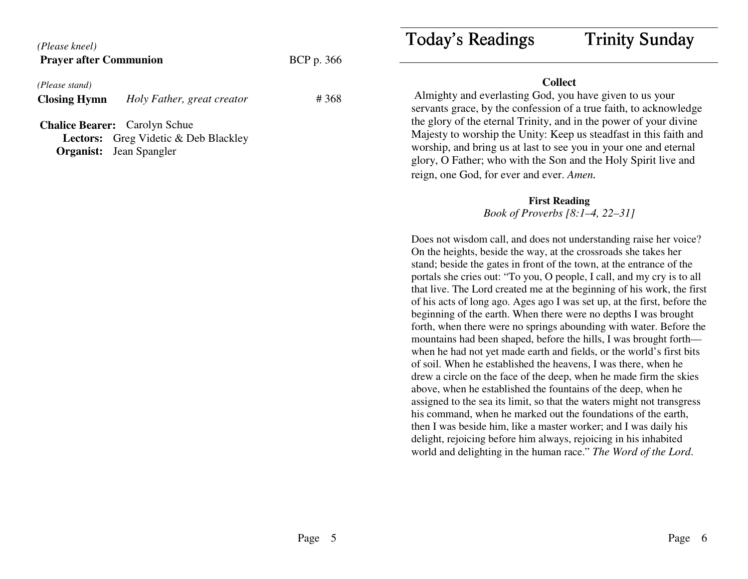| (Please kneel)                                                                                                                                                                    |            | Today's Readings                                                                                                                                                                                                                                                                                                                                                                                                                                                                                                                                                                              | <b>Trinity Sunday</b> |
|-----------------------------------------------------------------------------------------------------------------------------------------------------------------------------------|------------|-----------------------------------------------------------------------------------------------------------------------------------------------------------------------------------------------------------------------------------------------------------------------------------------------------------------------------------------------------------------------------------------------------------------------------------------------------------------------------------------------------------------------------------------------------------------------------------------------|-----------------------|
| <b>Prayer after Communion</b>                                                                                                                                                     | BCP p. 366 |                                                                                                                                                                                                                                                                                                                                                                                                                                                                                                                                                                                               |                       |
| (Please stand)                                                                                                                                                                    |            | Collect                                                                                                                                                                                                                                                                                                                                                                                                                                                                                                                                                                                       |                       |
| <b>Closing Hymn</b><br>Holy Father, great creator<br>#368<br><b>Chalice Bearer:</b> Carolyn Schue<br>Greg Videtic & Deb Blackley<br><b>Lectors:</b><br>Jean Spangler<br>Organist: |            | Almighty and everlasting God, you have given to us your<br>servants grace, by the confession of a true faith, to acknowledge<br>the glory of the eternal Trinity, and in the power of your divine<br>Majesty to worship the Unity: Keep us steadfast in this faith and<br>worship, and bring us at last to see you in your one and eternal<br>$\mathbf 1$ $\mathbf 1$ $\mathbf 1$ $\mathbf 1$ $\mathbf 1$ $\mathbf 1$ $\mathbf 1$ $\mathbf 1$ $\mathbf 1$ $\mathbf 1$ $\mathbf 1$ $\mathbf 1$ $\mathbf 1$ $\mathbf 1$ $\mathbf 1$ $\mathbf 1$ $\mathbf 1$ $\mathbf 1$ $\mathbf 1$ $\mathbf 1$ |                       |

## **First Reading**

glory, O Father; who with the Son and the Holy Spirit live and

reign, one God, for ever and ever. *Amen.*

*Book of Proverbs [8:1–4, 22–31]* 

Does not wisdom call, and does not understanding raise her voice? On the heights, beside the way, at the crossroads she takes her stand; beside the gates in front of the town, at the entrance of the portals she cries out: "To you, O people, I call, and my cry is to all that live. The Lord created me at the beginning of his work, the first of his acts of long ago. Ages ago I was set up, at the first, before the beginning of the earth. When there were no depths I was brought forth, when there were no springs abounding with water. Before the mountains had been shaped, before the hills, I was brought forth when he had not yet made earth and fields, or the world's first bits of soil. When he established the heavens, I was there, when he drew a circle on the face of the deep, when he made firm the skies above, when he established the fountains of the deep, when he assigned to the sea its limit, so that the waters might not transgress his command, when he marked out the foundations of the earth, then I was beside him, like a master worker; and I was daily his delight, rejoicing before him always, rejoicing in his inhabited world and delighting in the human race." *The Word of the Lord*.